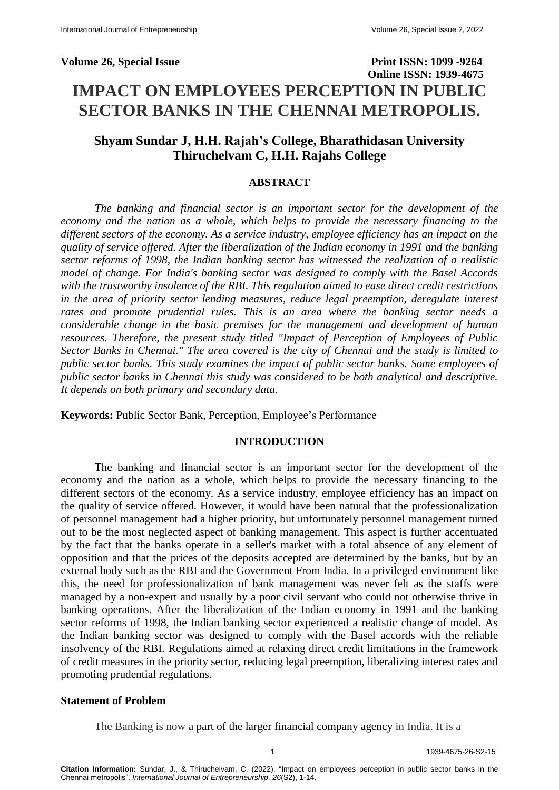# **Volume 26, Special Issue Print ISSN: 1099 -9264 Online ISSN: 1939-4675 IMPACT ON EMPLOYEES PERCEPTION IN PUBLIC SECTOR BANKS IN THE CHENNAI METROPOLIS.**

## **Shyam Sundar J, H.H. Rajah's College, Bharathidasan University Thiruchelvam C, H.H. Rajahs College**

#### **ABSTRACT**

*The banking and financial sector is an important sector for the development of the economy and the nation as a whole, which helps to provide the necessary financing to the different sectors of the economy. As a service industry, employee efficiency has an impact on the quality of service offered. After the liberalization of the Indian economy in 1991 and the banking sector reforms of 1998, the Indian banking sector has witnessed the realization of a realistic model of change. For India's banking sector was designed to comply with the Basel Accords with the trustworthy insolence of the RBI. This regulation aimed to ease direct credit restrictions in the area of priority sector lending measures, reduce legal preemption, deregulate interest rates and promote prudential rules. This is an area where the banking sector needs a considerable change in the basic premises for the management and development of human resources. Therefore, the present study titled "Impact of Perception of Employees of Public Sector Banks in Chennai." The area covered is the city of Chennai and the study is limited to public sector banks. This study examines the impact of public sector banks. Some employees of public sector banks in Chennai this study was considered to be both analytical and descriptive. It depends on both primary and secondary data.*

**Keywords:** Public Sector Bank, Perception, Employee's Performance

#### **INTRODUCTION**

The banking and financial sector is an important sector for the development of the economy and the nation as a whole, which helps to provide the necessary financing to the different sectors of the economy. As a service industry, employee efficiency has an impact on the quality of service offered. However, it would have been natural that the professionalization of personnel management had a higher priority, but unfortunately personnel management turned out to be the most neglected aspect of banking management. This aspect is further accentuated by the fact that the banks operate in a seller's market with a total absence of any element of opposition and that the prices of the deposits accepted are determined by the banks, but by an external body such as the RBI and the Government From India. In a privileged environment like this, the need for professionalization of bank management was never felt as the staffs were managed by a non-expert and usually by a poor civil servant who could not otherwise thrive in banking operations. After the liberalization of the Indian economy in 1991 and the banking sector reforms of 1998, the Indian banking sector experienced a realistic change of model. As the Indian banking sector was designed to comply with the Basel accords with the reliable insolvency of the RBI. Regulations aimed at relaxing direct credit limitations in the framework of credit measures in the priority sector, reducing legal preemption, liberalizing interest rates and promoting prudential regulations.

#### **Statement of Problem**

The Banking is now a part of the larger financial company agency in India. It is a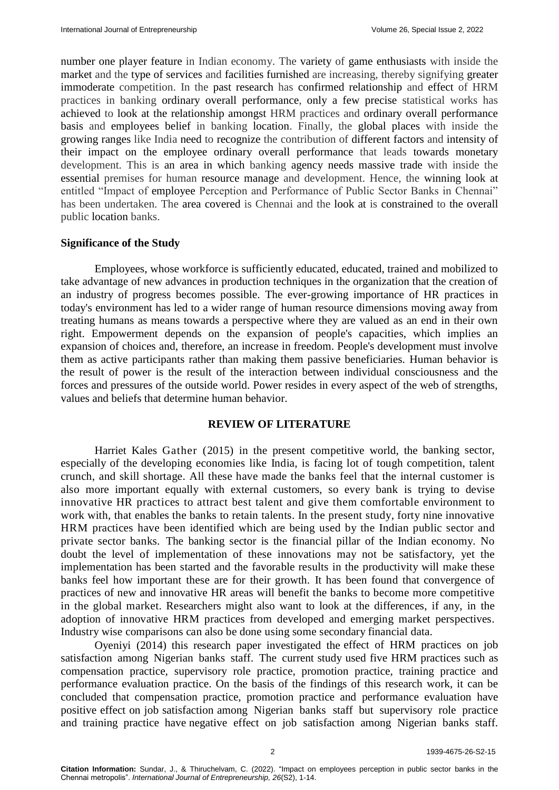number one player feature in Indian economy. The variety of game enthusiasts with inside the market and the type of services and facilities furnished are increasing, thereby signifying greater immoderate competition. In the past research has confirmed relationship and effect of HRM practices in banking ordinary overall performance, only a few precise statistical works has achieved to look at the relationship amongst HRM practices and ordinary overall performance basis and employees belief in banking location. Finally, the global places with inside the growing ranges like India need to recognize the contribution of different factors and intensity of their impact on the employee ordinary overall performance that leads towards monetary development. This is an area in which banking agency needs massive trade with inside the essential premises for human resource manage and development. Hence, the winning look at entitled "Impact of employee Perception and Performance of Public Sector Banks in Chennai" has been undertaken. The area covered is Chennai and the look at is constrained to the overall public location banks.

#### **Significance of the Study**

Employees, whose workforce is sufficiently educated, educated, trained and mobilized to take advantage of new advances in production techniques in the organization that the creation of an industry of progress becomes possible. The ever-growing importance of HR practices in today's environment has led to a wider range of human resource dimensions moving away from treating humans as means towards a perspective where they are valued as an end in their own right. Empowerment depends on the expansion of people's capacities, which implies an expansion of choices and, therefore, an increase in freedom. People's development must involve them as active participants rather than making them passive beneficiaries. Human behavior is the result of power is the result of the interaction between individual consciousness and the forces and pressures of the outside world. Power resides in every aspect of the web of strengths, values and beliefs that determine human behavior.

#### **REVIEW OF LITERATURE**

Harriet Kales Gather (2015) in the present competitive world, the banking sector, especially of the developing economies like India, is facing lot of tough competition, talent crunch, and skill shortage. All these have made the banks feel that the internal customer is also more important equally with external customers, so every bank is trying to devise innovative HR practices to attract best talent and give them comfortable environment to work with, that enables the banks to retain talents. In the present study, forty nine innovative HRM practices have been identified which are being used by the Indian public sector and private sector banks. The banking sector is the financial pillar of the Indian economy. No doubt the level of implementation of these innovations may not be satisfactory, yet the implementation has been started and the favorable results in the productivity will make these banks feel how important these are for their growth. It has been found that convergence of practices of new and innovative HR areas will benefit the banks to become more competitive in the global market. Researchers might also want to look at the differences, if any, in the adoption of innovative HRM practices from developed and emerging market perspectives. Industry wise comparisons can also be done using some secondary financial data.

Oyeniyi (2014) this research paper investigated the effect of HRM practices on job satisfaction among Nigerian banks staff. The current study used five HRM practices such as compensation practice, supervisory role practice, promotion practice, training practice and performance evaluation practice. On the basis of the findings of this research work, it can be concluded that compensation practice, promotion practice and performance evaluation have positive effect on job satisfaction among Nigerian banks staff but supervisory role practice and training practice have negative effect on job satisfaction among Nigerian banks staff.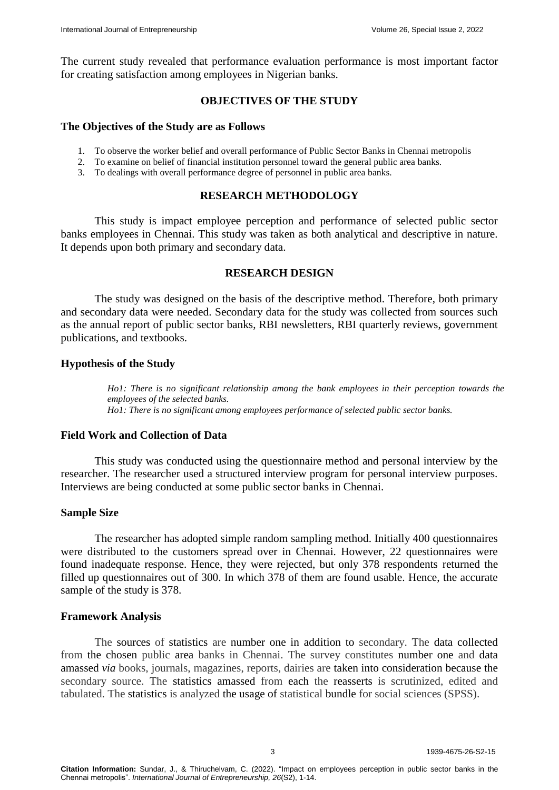The current study revealed that performance evaluation performance is most important factor for creating satisfaction among employees in Nigerian banks.

#### **OBJECTIVES OF THE STUDY**

#### **The Objectives of the Study are as Follows**

- 1. To observe the worker belief and overall performance of Public Sector Banks in Chennai metropolis
- 2. To examine on belief of financial institution personnel toward the general public area banks.
- 3. To dealings with overall performance degree of personnel in public area banks.

#### **RESEARCH METHODOLOGY**

This study is impact employee perception and performance of selected public sector banks employees in Chennai. This study was taken as both analytical and descriptive in nature. It depends upon both primary and secondary data.

#### **RESEARCH DESIGN**

The study was designed on the basis of the descriptive method. Therefore, both primary and secondary data were needed. Secondary data for the study was collected from sources such as the annual report of public sector banks, RBI newsletters, RBI quarterly reviews, government publications, and textbooks.

#### **Hypothesis of the Study**

*Ho1: There is no significant relationship among the bank employees in their perception towards the employees of the selected banks. Ho1: There is no significant among employees performance of selected public sector banks.*

#### **Field Work and Collection of Data**

This study was conducted using the questionnaire method and personal interview by the researcher. The researcher used a structured interview program for personal interview purposes. Interviews are being conducted at some public sector banks in Chennai.

#### **Sample Size**

The researcher has adopted simple random sampling method. Initially 400 questionnaires were distributed to the customers spread over in Chennai. However, 22 questionnaires were found inadequate response. Hence, they were rejected, but only 378 respondents returned the filled up questionnaires out of 300. In which 378 of them are found usable. Hence, the accurate sample of the study is 378.

#### **Framework Analysis**

The sources of statistics are number one in addition to secondary. The data collected from the chosen public area banks in Chennai. The survey constitutes number one and data amassed *via* books, journals, magazines, reports, dairies are taken into consideration because the secondary source. The statistics amassed from each the reasserts is scrutinized, edited and tabulated. The statistics is analyzed the usage of statistical bundle for social sciences (SPSS).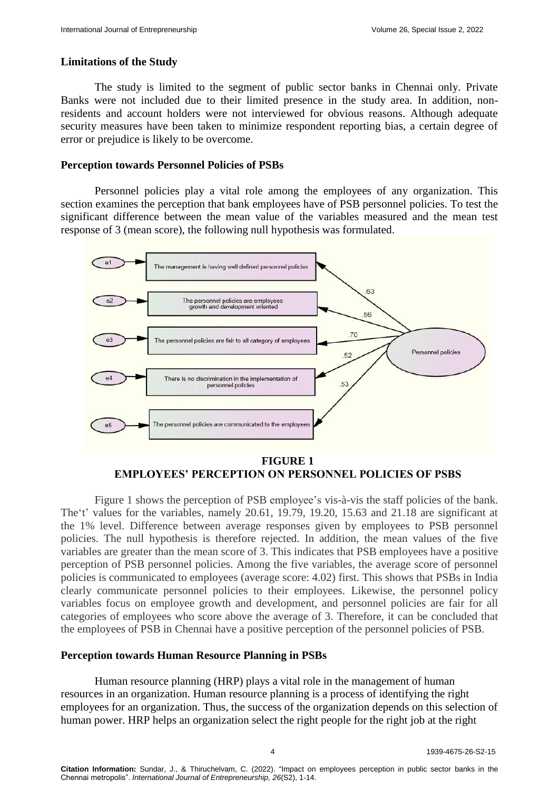#### **Limitations of the Study**

The study is limited to the segment of public sector banks in Chennai only. Private Banks were not included due to their limited presence in the study area. In addition, nonresidents and account holders were not interviewed for obvious reasons. Although adequate security measures have been taken to minimize respondent reporting bias, a certain degree of error or prejudice is likely to be overcome.

#### **Perception towards Personnel Policies of PSBs**

Personnel policies play a vital role among the employees of any organization. This section examines the perception that bank employees have of PSB personnel policies. To test the significant difference between the mean value of the variables measured and the mean test response of 3 (mean score), the following null hypothesis was formulated.



**EMPLOYEES' PERCEPTION ON PERSONNEL POLICIES OF PSBS**

Figure 1 shows the perception of PSB employee's vis-à-vis the staff policies of the bank. The 't' values for the variables, namely 20.61, 19.79, 19.20, 15.63 and 21.18 are significant at the 1% level. Difference between average responses given by employees to PSB personnel policies. The null hypothesis is therefore rejected. In addition, the mean values of the five variables are greater than the mean score of 3. This indicates that PSB employees have a positive perception of PSB personnel policies. Among the five variables, the average score of personnel policies is communicated to employees (average score: 4.02) first. This shows that PSBs in India clearly communicate personnel policies to their employees. Likewise, the personnel policy variables focus on employee growth and development, and personnel policies are fair for all categories of employees who score above the average of 3. Therefore, it can be concluded that the employees of PSB in Chennai have a positive perception of the personnel policies of PSB.

#### **Perception towards Human Resource Planning in PSBs**

Human resource planning (HRP) plays a vital role in the management of human resources in an organization. Human resource planning is a process of identifying the right employees for an organization. Thus, the success of the organization depends on this selection of human power. HRP helps an organization select the right people for the right job at the right

4 1939-4675-26-S2-15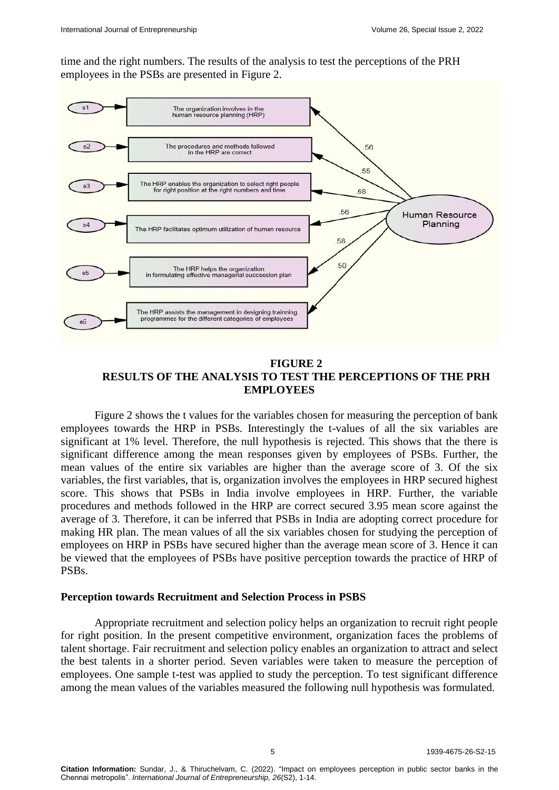time and the right numbers. The results of the analysis to test the perceptions of the PRH employees in the PSBs are presented in Figure 2.



#### **FIGURE 2 RESULTS OF THE ANALYSIS TO TEST THE PERCEPTIONS OF THE PRH EMPLOYEES**

Figure 2 shows the t values for the variables chosen for measuring the perception of bank employees towards the HRP in PSBs. Interestingly the t-values of all the six variables are significant at 1% level. Therefore, the null hypothesis is rejected. This shows that the there is significant difference among the mean responses given by employees of PSBs. Further, the mean values of the entire six variables are higher than the average score of 3. Of the six variables, the first variables, that is, organization involves the employees in HRP secured highest score. This shows that PSBs in India involve employees in HRP. Further, the variable procedures and methods followed in the HRP are correct secured 3.95 mean score against the average of 3. Therefore, it can be inferred that PSBs in India are adopting correct procedure for making HR plan. The mean values of all the six variables chosen for studying the perception of employees on HRP in PSBs have secured higher than the average mean score of 3. Hence it can be viewed that the employees of PSBs have positive perception towards the practice of HRP of PSBs.

#### **Perception towards Recruitment and Selection Process in PSBS**

Appropriate recruitment and selection policy helps an organization to recruit right people for right position. In the present competitive environment, organization faces the problems of talent shortage. Fair recruitment and selection policy enables an organization to attract and select the best talents in a shorter period. Seven variables were taken to measure the perception of employees. One sample t-test was applied to study the perception. To test significant difference among the mean values of the variables measured the following null hypothesis was formulated.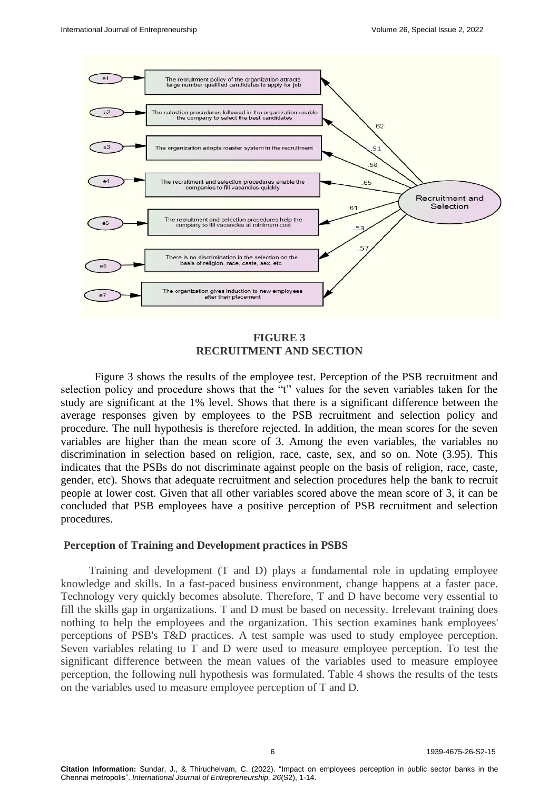

**FIGURE 3 RECRUITMENT AND SECTION**

Figure 3 shows the results of the employee test. Perception of the PSB recruitment and selection policy and procedure shows that the "t" values for the seven variables taken for the study are significant at the 1% level. Shows that there is a significant difference between the average responses given by employees to the PSB recruitment and selection policy and procedure. The null hypothesis is therefore rejected. In addition, the mean scores for the seven variables are higher than the mean score of 3. Among the even variables, the variables no discrimination in selection based on religion, race, caste, sex, and so on. Note (3.95). This indicates that the PSBs do not discriminate against people on the basis of religion, race, caste, gender, etc). Shows that adequate recruitment and selection procedures help the bank to recruit people at lower cost. Given that all other variables scored above the mean score of 3, it can be concluded that PSB employees have a positive perception of PSB recruitment and selection procedures.

#### **Perception of Training and Development practices in PSBS**

 Training and development (T and D) plays a fundamental role in updating employee knowledge and skills. In a fast-paced business environment, change happens at a faster pace. Technology very quickly becomes absolute. Therefore, T and D have become very essential to fill the skills gap in organizations. T and D must be based on necessity. Irrelevant training does nothing to help the employees and the organization. This section examines bank employees' perceptions of PSB's T&D practices. A test sample was used to study employee perception. Seven variables relating to T and D were used to measure employee perception. To test the significant difference between the mean values of the variables used to measure employee perception, the following null hypothesis was formulated. Table 4 shows the results of the tests on the variables used to measure employee perception of T and D.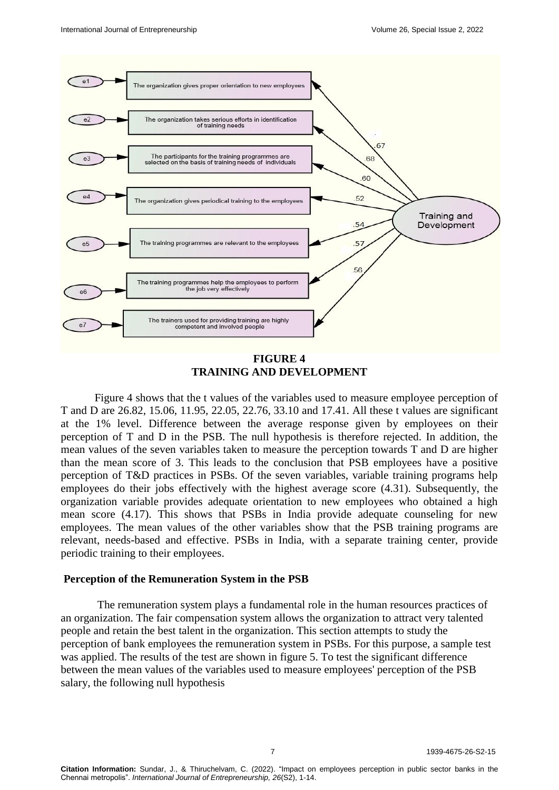

**FIGURE 4 TRAINING AND DEVELOPMENT**

Figure 4 shows that the t values of the variables used to measure employee perception of T and D are 26.82, 15.06, 11.95, 22.05, 22.76, 33.10 and 17.41. All these t values are significant at the 1% level. Difference between the average response given by employees on their perception of T and D in the PSB. The null hypothesis is therefore rejected. In addition, the mean values of the seven variables taken to measure the perception towards T and D are higher than the mean score of 3. This leads to the conclusion that PSB employees have a positive perception of T&D practices in PSBs. Of the seven variables, variable training programs help employees do their jobs effectively with the highest average score (4.31). Subsequently, the organization variable provides adequate orientation to new employees who obtained a high mean score (4.17). This shows that PSBs in India provide adequate counseling for new employees. The mean values of the other variables show that the PSB training programs are relevant, needs-based and effective. PSBs in India, with a separate training center, provide periodic training to their employees.

#### **Perception of the Remuneration System in the PSB**

The remuneration system plays a fundamental role in the human resources practices of an organization. The fair compensation system allows the organization to attract very talented people and retain the best talent in the organization. This section attempts to study the perception of bank employees the remuneration system in PSBs. For this purpose, a sample test was applied. The results of the test are shown in figure 5. To test the significant difference between the mean values of the variables used to measure employees' perception of the PSB salary, the following null hypothesis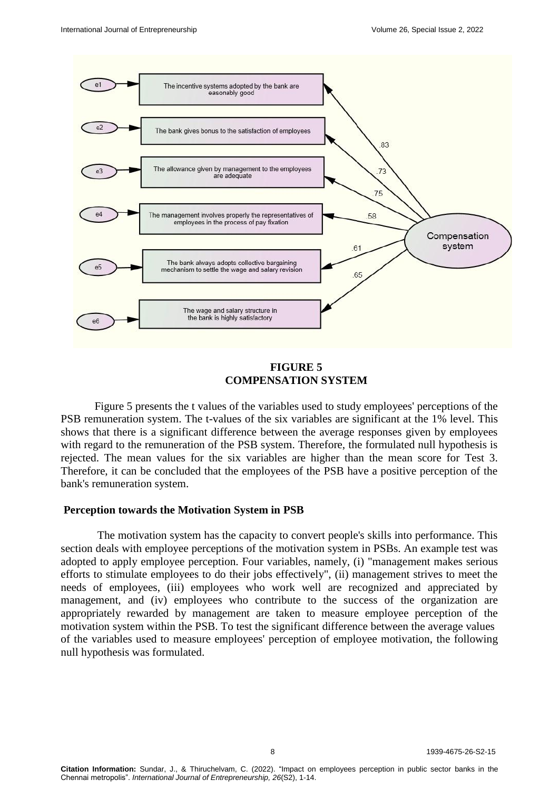

### **FIGURE 5 COMPENSATION SYSTEM**

Figure 5 presents the t values of the variables used to study employees' perceptions of the PSB remuneration system. The t-values of the six variables are significant at the 1% level. This shows that there is a significant difference between the average responses given by employees with regard to the remuneration of the PSB system. Therefore, the formulated null hypothesis is rejected. The mean values for the six variables are higher than the mean score for Test 3. Therefore, it can be concluded that the employees of the PSB have a positive perception of the bank's remuneration system.

#### **Perception towards the Motivation System in PSB**

The motivation system has the capacity to convert people's skills into performance. This section deals with employee perceptions of the motivation system in PSBs. An example test was adopted to apply employee perception. Four variables, namely, (i) "management makes serious efforts to stimulate employees to do their jobs effectively", (ii) management strives to meet the needs of employees, (iii) employees who work well are recognized and appreciated by management, and (iv) employees who contribute to the success of the organization are appropriately rewarded by management are taken to measure employee perception of the motivation system within the PSB. To test the significant difference between the average values of the variables used to measure employees' perception of employee motivation, the following null hypothesis was formulated.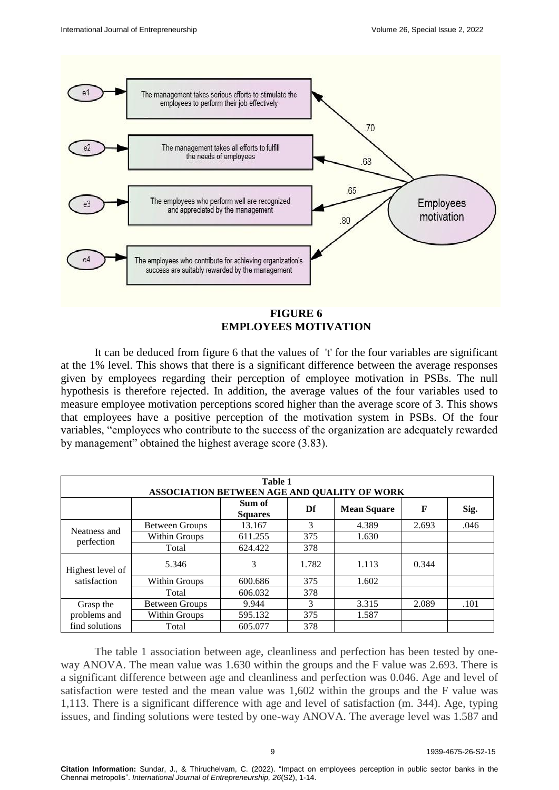

## **FIGURE 6 EMPLOYEES MOTIVATION**

It can be deduced from figure 6 that the values of 't' for the four variables are significant at the 1% level. This shows that there is a significant difference between the average responses given by employees regarding their perception of employee motivation in PSBs. The null hypothesis is therefore rejected. In addition, the average values of the four variables used to measure employee motivation perceptions scored higher than the average score of 3. This shows that employees have a positive perception of the motivation system in PSBs. Of the four variables, "employees who contribute to the success of the organization are adequately rewarded by management" obtained the highest average score (3.83).

| Table 1<br>ASSOCIATION BETWEEN AGE AND QUALITY OF WORK |                       |                          |       |                    |       |      |  |  |
|--------------------------------------------------------|-----------------------|--------------------------|-------|--------------------|-------|------|--|--|
|                                                        |                       | Sum of<br><b>Squares</b> | Df    | <b>Mean Square</b> | F     | Sig. |  |  |
|                                                        | <b>Between Groups</b> | 13.167                   | 3     | 4.389              | 2.693 | .046 |  |  |
| Neatness and<br>perfection                             | Within Groups         | 611.255                  | 375   | 1.630              |       |      |  |  |
|                                                        | Total                 | 624.422                  | 378   |                    |       |      |  |  |
| Highest level of<br>satisfaction                       | 5.346                 | 3                        | 1.782 | 1.113              | 0.344 |      |  |  |
|                                                        | Within Groups         | 600.686                  | 375   | 1.602              |       |      |  |  |
|                                                        | Total                 | 606.032                  | 378   |                    |       |      |  |  |
| Grasp the                                              | <b>Between Groups</b> | 9.944                    | 3     | 3.315              | 2.089 | .101 |  |  |
| problems and                                           | Within Groups         | 595.132                  | 375   | 1.587              |       |      |  |  |
| find solutions                                         | Total                 | 605.077                  | 378   |                    |       |      |  |  |

The table 1 association between age, cleanliness and perfection has been tested by oneway ANOVA. The mean value was 1.630 within the groups and the F value was 2.693. There is a significant difference between age and cleanliness and perfection was 0.046. Age and level of satisfaction were tested and the mean value was 1,602 within the groups and the F value was 1,113. There is a significant difference with age and level of satisfaction (m. 344). Age, typing issues, and finding solutions were tested by one-way ANOVA. The average level was 1.587 and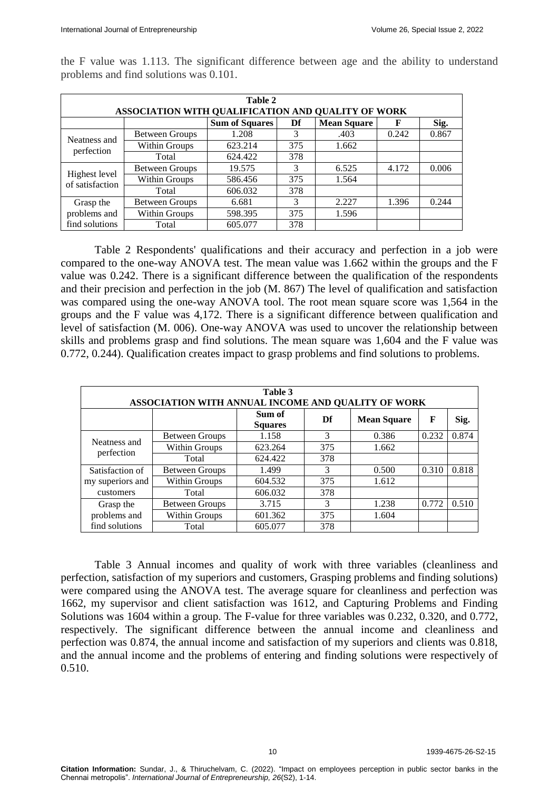| Table 2<br>ASSOCIATION WITH QUALIFICATION AND QUALITY OF WORK |                       |                       |     |                    |       |       |  |  |
|---------------------------------------------------------------|-----------------------|-----------------------|-----|--------------------|-------|-------|--|--|
|                                                               |                       | <b>Sum of Squares</b> | Df  | <b>Mean Square</b> | F     | Sig.  |  |  |
| Neatness and                                                  | <b>Between Groups</b> | 1.208                 | 3   | .403               | 0.242 | 0.867 |  |  |
| perfection                                                    | Within Groups         | 623.214               | 375 | 1.662              |       |       |  |  |
|                                                               | Total                 | 624.422               | 378 |                    |       |       |  |  |
| Highest level<br>of satisfaction                              | <b>Between Groups</b> | 19.575                | 3   | 6.525              | 4.172 | 0.006 |  |  |
|                                                               | Within Groups         | 586.456               | 375 | 1.564              |       |       |  |  |
|                                                               | Total                 | 606.032               | 378 |                    |       |       |  |  |
| Grasp the                                                     | <b>Between Groups</b> | 6.681                 | 3   | 2.227              | 1.396 | 0.244 |  |  |
| problems and                                                  | Within Groups         | 598.395               | 375 | 1.596              |       |       |  |  |
| find solutions                                                | Total                 | 605.077               | 378 |                    |       |       |  |  |

the F value was 1.113. The significant difference between age and the ability to understand problems and find solutions was 0.101.

Table 2 Respondents' qualifications and their accuracy and perfection in a job were compared to the one-way ANOVA test. The mean value was 1.662 within the groups and the F value was 0.242. There is a significant difference between the qualification of the respondents and their precision and perfection in the job (M. 867) The level of qualification and satisfaction was compared using the one-way ANOVA tool. The root mean square score was 1,564 in the groups and the F value was 4,172. There is a significant difference between qualification and level of satisfaction (M. 006). One-way ANOVA was used to uncover the relationship between skills and problems grasp and find solutions. The mean square was 1,604 and the F value was 0.772, 0.244). Qualification creates impact to grasp problems and find solutions to problems.

| Table 3<br>ASSOCIATION WITH ANNUAL INCOME AND QUALITY OF WORK |                       |                          |     |                    |       |       |  |  |
|---------------------------------------------------------------|-----------------------|--------------------------|-----|--------------------|-------|-------|--|--|
|                                                               |                       | Sum of<br><b>Squares</b> | Df  | <b>Mean Square</b> | F     | Sig.  |  |  |
|                                                               | <b>Between Groups</b> | 1.158                    | 3   | 0.386              | 0.232 | 0.874 |  |  |
| Neatness and                                                  | Within Groups         | 623.264                  | 375 | 1.662              |       |       |  |  |
| perfection                                                    | Total                 | 624.422                  | 378 |                    |       |       |  |  |
| Satisfaction of                                               | Between Groups        | 1.499                    | 3   | 0.500              | 0.310 | 0.818 |  |  |
| my superiors and<br>customers                                 | Within Groups         | 604.532                  | 375 | 1.612              |       |       |  |  |
|                                                               | Total                 | 606.032                  | 378 |                    |       |       |  |  |
| Grasp the<br>problems and                                     | <b>Between Groups</b> | 3.715                    | 3   | 1.238              | 0.772 | 0.510 |  |  |
|                                                               | Within Groups         | 601.362                  | 375 | 1.604              |       |       |  |  |
| find solutions                                                | Total                 | 605.077                  | 378 |                    |       |       |  |  |

Table 3 Annual incomes and quality of work with three variables (cleanliness and perfection, satisfaction of my superiors and customers, Grasping problems and finding solutions) were compared using the ANOVA test. The average square for cleanliness and perfection was 1662, my supervisor and client satisfaction was 1612, and Capturing Problems and Finding Solutions was 1604 within a group. The F-value for three variables was 0.232, 0.320, and 0.772, respectively. The significant difference between the annual income and cleanliness and perfection was 0.874, the annual income and satisfaction of my superiors and clients was 0.818, and the annual income and the problems of entering and finding solutions were respectively of 0.510.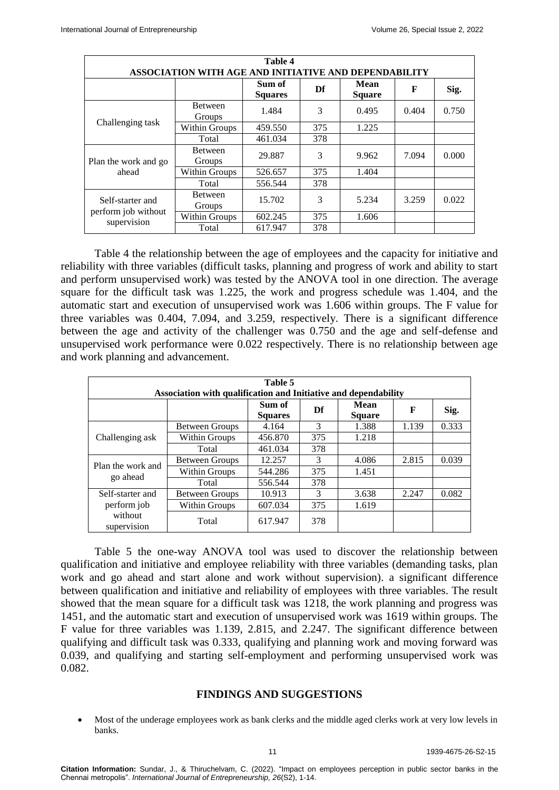|                                                        |                          | Table 4                  |     |                       |       |       |  |  |
|--------------------------------------------------------|--------------------------|--------------------------|-----|-----------------------|-------|-------|--|--|
| ASSOCIATION WITH AGE AND INITIATIVE AND DEPENDABILITY  |                          |                          |     |                       |       |       |  |  |
|                                                        |                          | Sum of<br><b>Squares</b> | Df  | Mean<br><b>Square</b> | F     | Sig.  |  |  |
|                                                        | <b>Between</b><br>Groups | 1.484                    | 3   | 0.495                 | 0.404 | 0.750 |  |  |
| Challenging task                                       | Within Groups            | 459.550                  | 375 | 1.225                 |       |       |  |  |
|                                                        | Total                    | 461.034                  | 378 |                       |       |       |  |  |
| Plan the work and go<br>ahead                          | <b>Between</b><br>Groups | 29.887                   | 3   | 9.962                 | 7.094 | 0.000 |  |  |
|                                                        | Within Groups            | 526.657                  | 375 | 1.404                 |       |       |  |  |
|                                                        | Total                    | 556.544                  | 378 |                       |       |       |  |  |
| Self-starter and<br>perform job without<br>supervision | <b>Between</b><br>Groups | 15.702                   | 3   | 5.234                 | 3.259 | 0.022 |  |  |
|                                                        | Within Groups            | 602.245                  | 375 | 1.606                 |       |       |  |  |
|                                                        | Total                    | 617.947                  | 378 |                       |       |       |  |  |

Table 4 the relationship between the age of employees and the capacity for initiative and reliability with three variables (difficult tasks, planning and progress of work and ability to start and perform unsupervised work) was tested by the ANOVA tool in one direction. The average square for the difficult task was 1.225, the work and progress schedule was 1.404, and the automatic start and execution of unsupervised work was 1.606 within groups. The F value for three variables was 0.404, 7.094, and 3.259, respectively. There is a significant difference between the age and activity of the challenger was 0.750 and the age and self-defense and unsupervised work performance were 0.022 respectively. There is no relationship between age and work planning and advancement.

| Table 5                                                         |                       |                          |               |                       |       |       |  |  |
|-----------------------------------------------------------------|-----------------------|--------------------------|---------------|-----------------------|-------|-------|--|--|
| Association with qualification and Initiative and dependability |                       |                          |               |                       |       |       |  |  |
|                                                                 |                       | Sum of<br><b>Squares</b> | Df            | Mean<br><b>Square</b> | F     | Sig.  |  |  |
| Challenging ask                                                 | Between Groups        | 4.164                    | 3             | 1.388                 | 1.139 | 0.333 |  |  |
|                                                                 | Within Groups         | 456.870                  | 375           | 1.218                 |       |       |  |  |
|                                                                 | Total                 | 461.034                  | 378           |                       |       |       |  |  |
| Plan the work and<br>go ahead                                   | <b>Between Groups</b> | 12.257                   | 3             | 4.086                 | 2.815 | 0.039 |  |  |
|                                                                 | Within Groups         | 544.286                  | 375           | 1.451                 |       |       |  |  |
|                                                                 | Total                 | 556.544                  | 378           |                       |       |       |  |  |
| Self-starter and                                                | <b>Between Groups</b> | 10.913                   | $\mathcal{R}$ | 3.638                 | 2.247 | 0.082 |  |  |
| perform job                                                     | Within Groups         | 607.034                  | 375           | 1.619                 |       |       |  |  |
| without<br>supervision                                          | Total                 | 617.947                  | 378           |                       |       |       |  |  |

Table 5 the one-way ANOVA tool was used to discover the relationship between qualification and initiative and employee reliability with three variables (demanding tasks, plan work and go ahead and start alone and work without supervision). a significant difference between qualification and initiative and reliability of employees with three variables. The result showed that the mean square for a difficult task was 1218, the work planning and progress was 1451, and the automatic start and execution of unsupervised work was 1619 within groups. The F value for three variables was 1.139, 2.815, and 2.247. The significant difference between qualifying and difficult task was 0.333, qualifying and planning work and moving forward was 0.039, and qualifying and starting self-employment and performing unsupervised work was 0.082.

#### **FINDINGS AND SUGGESTIONS**

 Most of the underage employees work as bank clerks and the middle aged clerks work at very low levels in banks.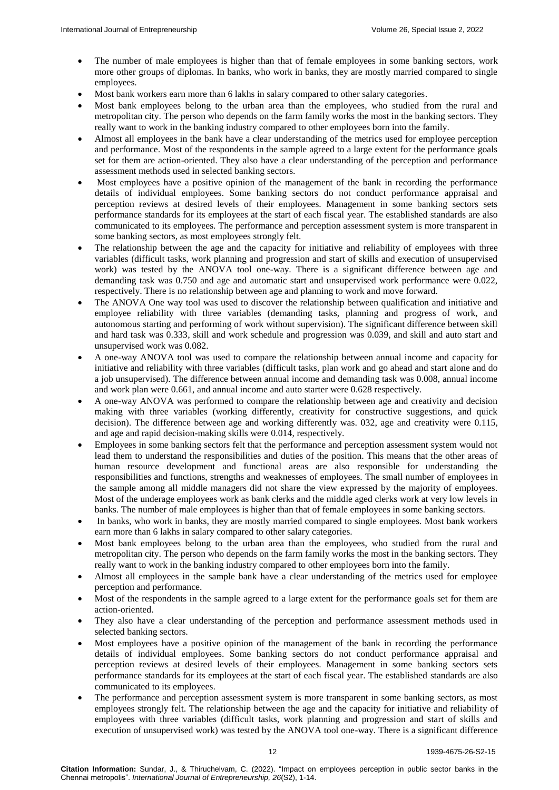- The number of male employees is higher than that of female employees in some banking sectors, work more other groups of diplomas. In banks, who work in banks, they are mostly married compared to single employees.
- Most bank workers earn more than 6 lakhs in salary compared to other salary categories.
- Most bank employees belong to the urban area than the employees, who studied from the rural and metropolitan city. The person who depends on the farm family works the most in the banking sectors. They really want to work in the banking industry compared to other employees born into the family.
- Almost all employees in the bank have a clear understanding of the metrics used for employee perception and performance. Most of the respondents in the sample agreed to a large extent for the performance goals set for them are action-oriented. They also have a clear understanding of the perception and performance assessment methods used in selected banking sectors.
- Most employees have a positive opinion of the management of the bank in recording the performance details of individual employees. Some banking sectors do not conduct performance appraisal and perception reviews at desired levels of their employees. Management in some banking sectors sets performance standards for its employees at the start of each fiscal year. The established standards are also communicated to its employees. The performance and perception assessment system is more transparent in some banking sectors, as most employees strongly felt.
- The relationship between the age and the capacity for initiative and reliability of employees with three variables (difficult tasks, work planning and progression and start of skills and execution of unsupervised work) was tested by the ANOVA tool one-way. There is a significant difference between age and demanding task was 0.750 and age and automatic start and unsupervised work performance were 0.022, respectively. There is no relationship between age and planning to work and move forward.
- The ANOVA One way tool was used to discover the relationship between qualification and initiative and employee reliability with three variables (demanding tasks, planning and progress of work, and autonomous starting and performing of work without supervision). The significant difference between skill and hard task was 0.333, skill and work schedule and progression was 0.039, and skill and auto start and unsupervised work was 0.082.
- A one-way ANOVA tool was used to compare the relationship between annual income and capacity for initiative and reliability with three variables (difficult tasks, plan work and go ahead and start alone and do a job unsupervised). The difference between annual income and demanding task was 0.008, annual income and work plan were 0.661, and annual income and auto starter were 0.628 respectively.
- A one-way ANOVA was performed to compare the relationship between age and creativity and decision making with three variables (working differently, creativity for constructive suggestions, and quick decision). The difference between age and working differently was. 032, age and creativity were 0.115, and age and rapid decision-making skills were 0.014, respectively.
- Employees in some banking sectors felt that the performance and perception assessment system would not lead them to understand the responsibilities and duties of the position. This means that the other areas of human resource development and functional areas are also responsible for understanding the responsibilities and functions, strengths and weaknesses of employees. The small number of employees in the sample among all middle managers did not share the view expressed by the majority of employees. Most of the underage employees work as bank clerks and the middle aged clerks work at very low levels in banks. The number of male employees is higher than that of female employees in some banking sectors.
- In banks, who work in banks, they are mostly married compared to single employees. Most bank workers earn more than 6 lakhs in salary compared to other salary categories.
- Most bank employees belong to the urban area than the employees, who studied from the rural and metropolitan city. The person who depends on the farm family works the most in the banking sectors. They really want to work in the banking industry compared to other employees born into the family.
- Almost all employees in the sample bank have a clear understanding of the metrics used for employee perception and performance.
- Most of the respondents in the sample agreed to a large extent for the performance goals set for them are action-oriented.
- They also have a clear understanding of the perception and performance assessment methods used in selected banking sectors.
- Most employees have a positive opinion of the management of the bank in recording the performance details of individual employees. Some banking sectors do not conduct performance appraisal and perception reviews at desired levels of their employees. Management in some banking sectors sets performance standards for its employees at the start of each fiscal year. The established standards are also communicated to its employees.
- The performance and perception assessment system is more transparent in some banking sectors, as most employees strongly felt. The relationship between the age and the capacity for initiative and reliability of employees with three variables (difficult tasks, work planning and progression and start of skills and execution of unsupervised work) was tested by the ANOVA tool one-way. There is a significant difference